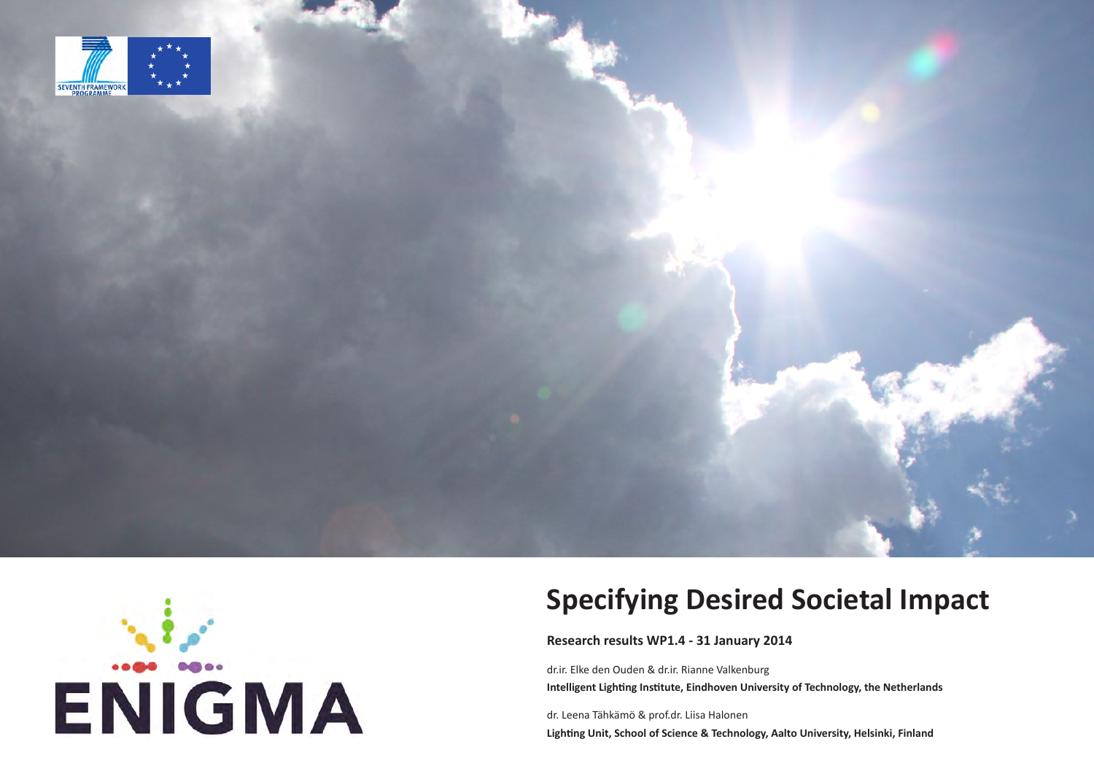



**Research results WP1.4 - 31 January 2014**

dr.ir. Elke den Ouden & dr.ir. Rianne Valkenburg **Intelligent Lighting Institute, Eindhoven University of Technology, the Netherlands**

dr. Leena Tähkämö & prof.dr. Liisa Halonen **Lighting Unit, School of Science & Technology, Aalto University, Helsinki, Finland**

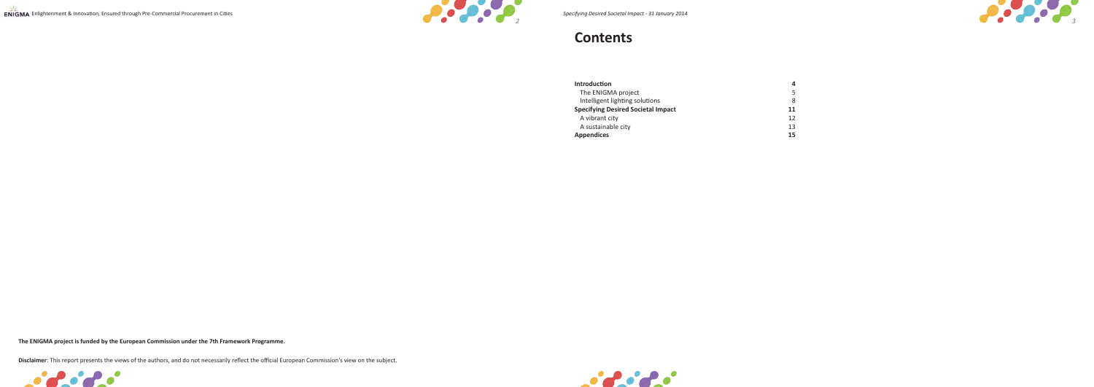



### **Contents**

| 11 |
|----|
| 12 |
| 13 |
| 15 |
|    |





**The ENIGMA project is funded by the European Commission under the 7th Framework Programme.**

**Disclaimer**: This report presents the views of the authors, and do not necessarily reflect the official European Commission's view on the subject.

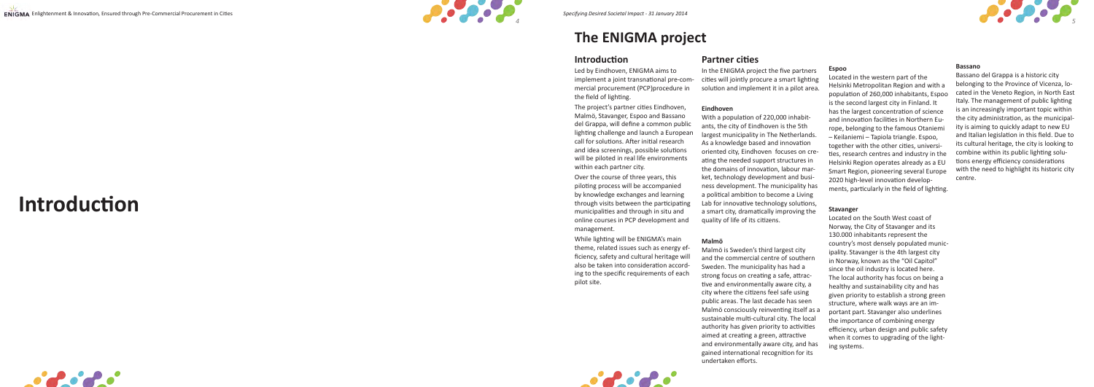



## **The ENIGMA project**

**Introduction**







### **Introduction**

Led by Eindhoven, ENIGMA aims to implement a joint transnational pre-com mercial procurement (PCP)procedure in the field of lighting.

The project's partner cities Eindhoven, Malmö, Stavanger, Espoo and Bassano del Grappa, will define a common public lighting challenge and launch a European call for solutions. After initial research and idea screenings, possible solutions will be piloted in real life environments within each partner city.

Over the course of three years, this piloting process will be accompanied by knowledge exchanges and learning through visits between the participating municipalities and through in situ and online courses in PCP development and management.

While lighting will be ENIGMA's main theme, related issues such as energy efficiency, safety and cultural heritage will also be taken into consideration accord ing to the specific requirements of each pilot site.

### **Partner cities**

In the ENIGMA project the five partners cities will jointly procure a smart lighting solution and implement it in a pilot area.

#### **Eindhoven**

With a population of 220,000 inhabit ants, the city of Eindhoven is the 5th largest municipality in The Netherlands. As a knowledge based and innovation oriented city, Eindhoven focuses on cre ating the needed support structures in the domains of innovation, labour mar ket, technology development and busi ness development. The municipality has a political ambition to become a Living Lab for innovative technology solutions, a smart city, dramatically improving the quality of life of its citizens.

#### **Malmö**

Malmö is Sweden's third largest city and the commercial centre of southern Sweden. The municipality has had a strong focus on creating a safe, attrac tive and environmentally aware city, a city where the citizens feel safe using public areas. The last decade has seen Malmö consciously reinventing itself as a sustainable multi-cultural city. The local authority has given priority to activities aimed at creating a green, attractive and environmentally aware city, and has gained international recognition for its undertaken efforts.

#### **Espoo**

Located in the western part of the Helsinki Metropolitan Region and with a population of 260,000 inhabitants, Espoo is the second largest city in Finland. It has the largest concentration of science and innovation facilities in Northern Eu rope, belonging to the famous Otaniemi – Keilaniemi – Tapiola triangle. Espoo, together with the other cities, universi ties, research centres and industry in the Helsinki Region operates already as a EU Smart Region, pioneering several Europe 2020 high-level innovation develop ments, particularly in the field of lighting.

#### **Stavanger**

Located on the South West coast of Norway, the City of Stavanger and its 130.000 inhabitants represent the country's most densely populated munic ipality. Stavanger is the 4th largest city in Norway, known as the "Oil Capitol" since the oil industry is located here. The local authority has focus on being a healthy and sustainability city and has given priority to establish a strong green structure, where walk ways are an im portant part. Stavanger also underlines the importance of combining energy efficiency, urban design and public safety when it comes to upgrading of the light ing systems.

#### **Bassano**

Bassano del Grappa is a historic city belonging to the Province of Vicenza, lo cated in the Veneto Region, in North East Italy. The management of public lighting is an increasingly important topic within the city administration, as the municipal ity is aiming to quickly adapt to new EU and Italian legislation in this field. Due to its cultural heritage, the city is looking to combine within its public lighting solu tions energy efficiency considerations with the need to highlight its historic city centre.

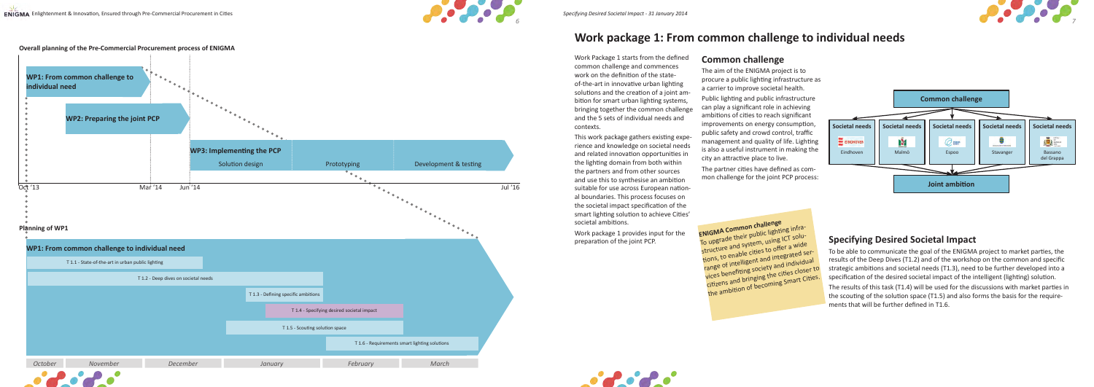



To upgrade their public lighting infrastructure and system, using ICT solutions, to enable cities to offer a wide range of intelligent and integrated services benefiting society and individual citizens and bringing the cities closer to the ambition of becoming Smart Cities.

Work Package 1 starts from the defined common challenge and commences work on the definition of the stateof-the-art in innovative urban lighting solutions and the creation of a joint ambition for smart urban lighting systems, bringing together the common challenge and the 5 sets of individual needs and contexts.

This work package gathers existing experience and knowledge on societal needs and related innovation opportunities in the lighting domain from both within the partners and from other sources and use this to synthesise an ambition suitable for use across European national boundaries. This process focuses on the societal impact specification of the smart lighting solution to achieve Cities' societal ambitions.

Work package 1 provides input for the preparation of the joint PCP.

### **Common challenge**

The aim of the ENIGMA project is to procure a public lighting infrastructure as a carrier to improve societal health. Public lighting and public infrastructure can play a significant role in achieving ambitions of cities to reach significant improvements on energy consumption, public safety and crowd control, traffic management and quality of life. Lighting is also a useful instrument in making the city an attractive place to live.

The partner cities have defined as common challenge for the joint PCP process:



### **Work package 1: From common challenge to individual needs**



### **Specifying Desired Societal Impact**

To be able to communicate the goal of the ENIGMA project to market parties, the results of the Deep Dives (T1.2) and of the workshop on the common and specific strategic ambitions and societal needs (T1.3), need to be further developed into a specification of the desired societal impact of the intelligent (lighting) solution.

The results of this task (T1.4) will be used for the discussions with market parties in the scouting of the solution space (T1.5) and also forms the basis for the requirements that will be further defined in T1.6.

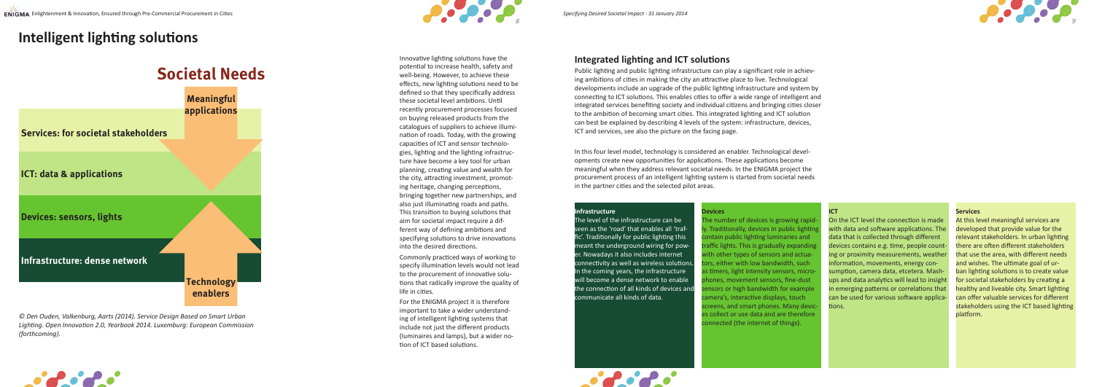

## **Intelligent lighting solutions**

Innovative lighting solutions have the potential to increase health, safety and well-being. However, to achieve these effects, new lighting solutions need to be defined so that they specifically address these societal level ambitions. Until recently procurement processes focused on buying released products from the catalogues of suppliers to achieve illumination of roads. Today, with the growing capacities of ICT and sensor technologies, lighting and the lighting infrastructure have become a key tool for urban planning, creating value and wealth for the city, attracting investment, promoting heritage, changing perceptions, bringing together new partnerships, and also just illuminating roads and paths. This transition to buying solutions that aim for societal impact require a different way of defining ambitions and specifying solutions to drive innovations into the desired directions.

Commonly practiced ways of working to specify illumination levels would not lead to the procurement of innovative solutions that radically improve the quality of life in cities.

For the ENIGMA project it is therefore important to take a wider understanding of intelligent lighting systems that include not just the different products (luminaires and lamps), but a wider notion of ICT based solutions.

*© Den Ouden, Valkenburg, Aarts (2014). Service Design Based on Smart Urban Lighting. Open Innovation 2.0, Yearbook 2014. Luxemburg: European Commission (forthcoming).*





## **Societal Needs**

### **Integrated lighting and ICT solutions**

Public lighting and public lighting infrastructure can play a significant role in achieving ambitions of cities in making the city an attractive place to live. Technological developments include an upgrade of the public lighting infrastructure and system by connecting to ICT solutions. This enables cities to offer a wide range of intelligent and integrated services benefiting society and individual citizens and bringing cities closer to the ambition of becoming smart cities. This integrated lighting and ICT solution can best be explained by describing 4 levels of the system: infrastructure, devices, ICT and services, see also the picture on the facing page.





In this four level model, technology is considered an enabler. Technological developments create new opportunities for applications. These applications become meaningful when they address relevant societal needs. In the ENIGMA project the procurement process of an intelligent lighting system is started from societal needs in the partner cities and the selected pilot areas.

#### **Infrastructure**

The level of the infrastructure can be seen as the 'road' that enables all 'traffic'. Traditionally for public lighting this meant the underground wiring for power. Nowadays it also includes internet connectivity as well as wireless solutions. In the coming years, the infrastructure will become a dense network to enable the connection of all kinds of devices and communicate all kinds of data.

#### **Devices**

The number of devices is growing rapidly. Traditionally, devices in public lighting contain public lighting luminaries and traffic lights. This is gradually expanding with other types of sensors and actuators, either with low bandwidth, such as timers, light intensity sensors, microphones, movement sensors, fine-dust sensors or high bandwidth for example camera's, interactive displays, touch screens, and smart phones. Many devices collect or use data and are therefore connected (the internet of things).

#### **ICT**

On the ICT level the connection is made with data and software applications. The data that is collected through different devices contains e.g. time, people counting or proximity measurements, weather information, movements, energy consumption, camera data, etcetera. Mashups and data analytics will lead to insight in emerging patterns or correlations that can be used for various software applications.

#### **Services**

At this level meaningful services are developed that provide value for the relevant stakeholders. In urban lighting there are often different stakeholders that use the area, with different needs and wishes. The ultimate goal of urban lighting solutions is to create value for societal stakeholders by creating a healthy and liveable city. Smart lighting can offer valuable services for different stakeholders using the ICT based lighting platform.

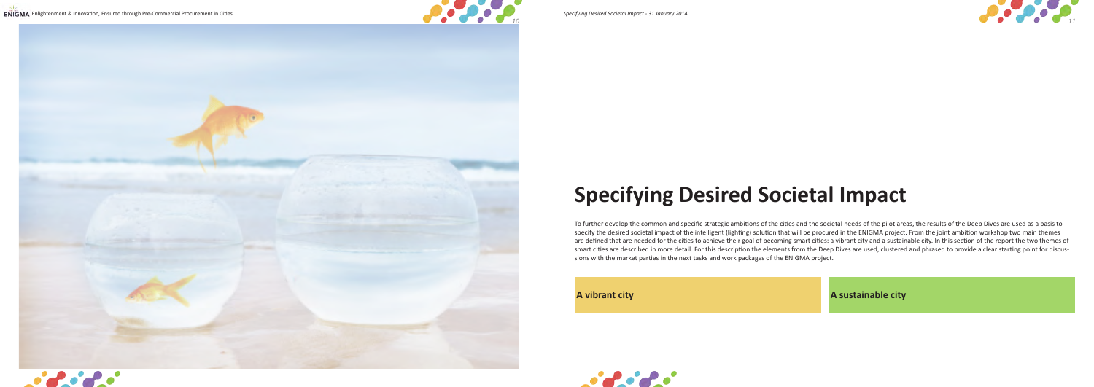









# **Specifying Desired Societal Impact**

To further develop the common and specific strategic ambitions of the cities and the societal needs of the pilot areas, the results of the Deep Dives are used as a basis to specify the desired societal impact of the intelligent (lighting) solution that will be procured in the ENIGMA project. From the joint ambition workshop two main themes are defined that are needed for the cities to achieve their goal of becoming smart cities: a vibrant city and a sustainable city. In this section of the report the two themes of smart cities are described in more detail. For this description the elements from the Deep Dives are used, clustered and phrased to provide a clear starting point for discussions with the market parties in the next tasks and work packages of the ENIGMA project.

**A vibrant city A sustainable city**

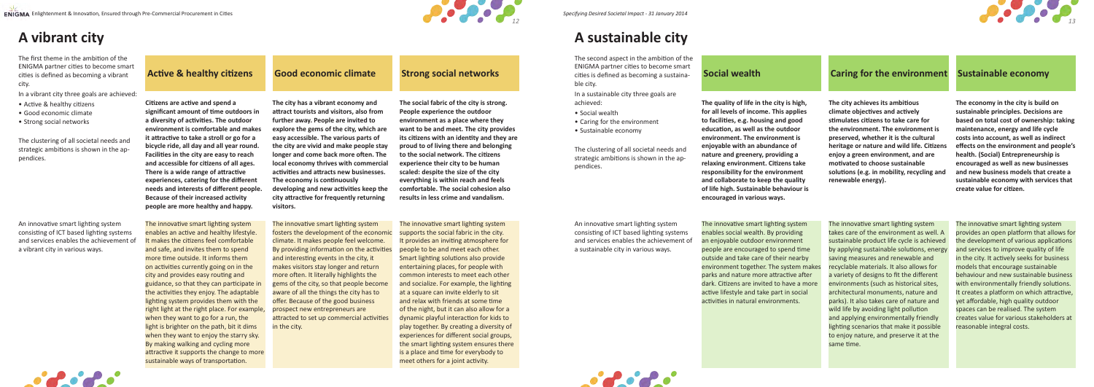*12 13*

### **Active & healthy citizens Good economic climate Strong social networks Sustained as becoming a sustaina- Social wealth Caring for the environment Sustainable economy**

## **A vibrant city**

The first theme in the ambition of the ENIGMA partner cities to become smart cities is defined as becoming a vibrant city.

In a vibrant city three goals are achieved:

- Active & healthy citizens
- Good economic climate
- Strong social networks

The clustering of all societal needs and strategic ambitions is shown in the appendices.

An innovative smart lighting system consisting of ICT based lighting systems and services enables the achievement of a vibrant city in various ways.

An innovative smart lighting system consisting of ICT based lighting systems and services enables the achievement of a sustainable city in various ways.

The innovative smart lighting system enables an active and healthy lifestyle. It makes the citizens feel comfortable and safe, and invites them to spend more time outside. It informs them on activities currently going on in the city and provides easy routing and guidance, so that they can participate in the activities they enjoy. The adaptable lighting system provides them with the right light at the right place. For example, when they want to go for a run, the light is brighter on the path, bit it dims when they want to enjoy the starry sky. By making walking and cycling more attractive it supports the change to more sustainable ways of transportation.

The innovative smart lighting system fosters the development of the economic climate. It makes people feel welcome. By providing information on the activities and interesting events in the city, it makes visitors stay longer and return more often. It literally highlights the gems of the city, so that people become aware of all the things the city has to offer. Because of the good business prospect new entrepreneurs are attracted to set up commercial activities in the city.

The innovative smart lighting system supports the social fabric in the city. It provides an inviting atmosphere for people to be and meet each other. Smart lighting solutions also provide entertaining places, for people with common interests to meet each other and socialize. For example, the lighting at a square can invite elderly to sit and relax with friends at some time of the night, but it can also allow for a dynamic playful interaction for kids to play together. By creating a diversity of experiences for different social groups, the smart lighting system ensures there is a place and time for everybody to meet others for a joint activity.



The innovative smart lighting system enables social wealth. By providing an enjoyable outdoor environment people are encouraged to spend time outside and take care of their nearby environment together. The system makes parks and nature more attractive after dark. Citizens are invited to have a more active lifestyle and take part in social activities in natural environments.

The innovative smart lighting system takes care of the environment as well. A sustainable product life cycle is achieved by applying sustainable solutions, energy saving measures and renewable and recyclable materials. It also allows for a variety of designs to fit the different environments (such as historical sites, architectural monuments, nature and parks). It also takes care of nature and wild life by avoiding light pollution and applying environmentally friendly lighting scenarios that make it possible to enjoy nature, and preserve it at the same time.

The innovative smart lighting system provides an open platform that allows for the development of various applications and services to improve quality of life in the city. It actively seeks for business models that encourage sustainable behaviour and new sustainable business with environmentally friendly solutions. It creates a platform on which attractive, yet affordable, high quality outdoor spaces can be realised. The system creates value for various stakeholders at reasonable integral costs.



**Citizens are active and spend a significant amount of time outdoors in a diversity of activities. The outdoor environment is comfortable and makes it attractive to take a stroll or go for a bicycle ride, all day and all year round. Facilities in the city are easy to reach and accessible for citizens of all ages. There is a wide range of attractive experiences, catering for the different needs and interests of different people. Because of their increased activity people are more healthy and happy.** 

**The city has a vibrant economy and attract tourists and visitors, also from further away. People are invited to explore the gems of the city, which are easy accessible. The various parts of the city are vivid and make people stay longer and come back more often. The local economy thrives with commercial activities and attracts new businesses. The economy is continuously developing and new activities keep the city attractive for frequently returning visitors.**

**The social fabric of the city is strong. People experience the outdoor environment as a place where they want to be and meet. The city provides its citizens with an identity and they are proud to of living there and belonging to the social network. The citizens experience their city to be human scaled: despite the size of the city everything is within reach and feels comfortable. The social cohesion also results in less crime and vandalism.**

**The quality of life in the city is high, for all levels of income. This applies to facilities, e.g. housing and good education, as well as the outdoor environment. The environment is enjoyable with an abundance of nature and greenery, providing a relaxing environment. Citizens take responsibility for the environment and collaborate to keep the quality of life high. Sustainable behaviour is encouraged in various ways.**

**The city achieves its ambitious climate objectives and actively stimulates citizens to take care for the environment. The environment is preserved, whether it is the cultural heritage or nature and wild life. Citizens enjoy a green environment, and are motivated to choose sustainable solutions (e.g. in mobility, recycling and renewable energy).** 

**The economy in the city is build on sustainable principles. Decisions are based on total cost of ownership: taking maintenance, energy and life cycle costs into account, as well as indirect effects on the environment and people's health. (Social) Entrepreneurship is encouraged as well as new businesses and new business models that create a sustainable economy with services that create value for citizen.** 

## **A sustainable city**

The second aspect in the ambition of the ENIGMA partner cities to become smart cities is defined as becoming a sustainable city.

- In a sustainable city three goals are achieved:
- Social wealth • Caring for the environment
- Sustainable economy

The clustering of all societal needs and strategic ambitions is shown in the appendices.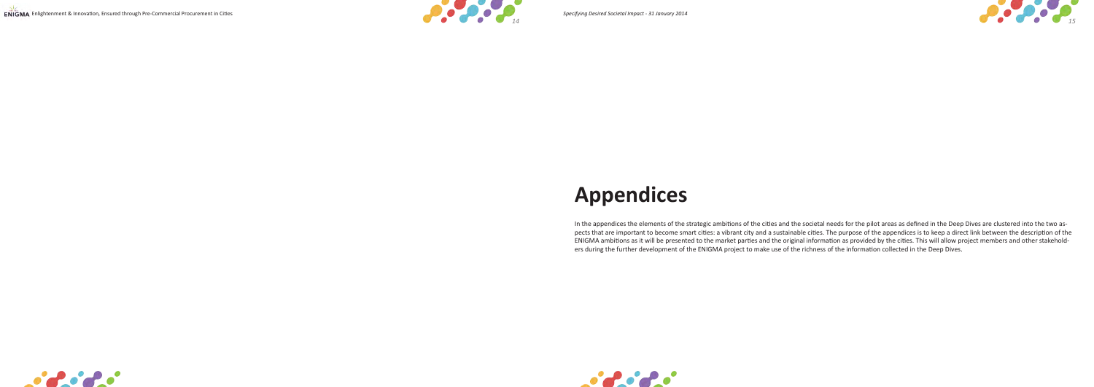







# **Appendices**

In the appendices the elements of the strategic ambitions of the cities and the societal needs for the pilot areas as defined in the Deep Dives are clustered into the two aspects that are important to become smart cities: a vibrant city and a sustainable cities. The purpose of the appendices is to keep a direct link between the description of the ENIGMA ambitions as it will be presented to the market parties and the original information as provided by the cities. This will allow project members and other stakeholders during the further development of the ENIGMA project to make use of the richness of the information collected in the Deep Dives.

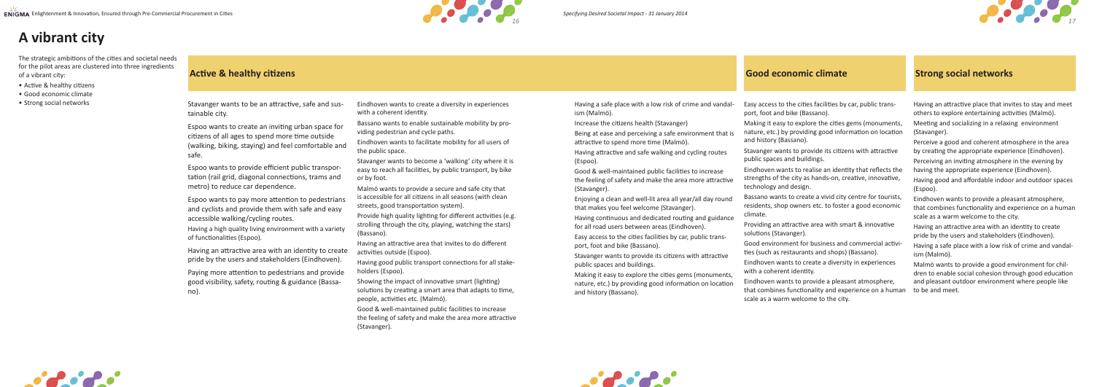

Eindhoven wants to create a diversity in experiences with a coherent identity.

Bassano wants to enable sustainable mobility by providing pedestrian and cycle paths.

Eindhoven wants to facilitate mobility for all users of the public space.

Stavanger wants to become a 'walking' city where it is easy to reach all facilities, by public transport, by bike or by foot.

Malmö wants to provide a secure and safe city that is accessible for all citizens in all seasons (with clean streets, good transportation system).

Provide high quality lighting for different activities (e.g. strolling through the city, playing, watching the stars) (Bassano).

Having an attractive area that invites to do different activities outside (Espoo).

Having good public transport connections for all stakeholders (Espoo).

Showing the impact of innovative smart (lighting) solutions by creating a smart area that adapts to time, people, activities etc. (Malmö).

Good & well-maintained public facilities to increase the feeling of safety and make the area more attractive (Stavanger).





Being at ease and perceiving a safe environment that i attractive to spend more time (Malmö).

Easy access to the cities facilities by car, public transport, foot and bike (Bassano).

Making it easy to explore the cities gems (monuments, nature, etc.) by providing good information on location and history (Bassano).

Stavanger wants to provide its citizens with attractive public spaces and buildings.

Eindhoven wants to realise an identity that reflects the strengths of the city as hands-on, creative, innovative, technology and design.

Bassano wants to create a vivid city centre for tourists, residents, shop owners etc. to foster a good economic climate.

Providing an attractive area with smart & innovative solutions (Stavanger).

Good environment for business and commercial activities (such as restaurants and shops) (Bassano).

Eindhoven wants to create a diversity in experiences with a coherent identity.

Eindhoven wants to provide a pleasant atmosphere, that combines functionality and experience on a human scale as a warm welcome to the city.

Having a safe place with a low risk of crime and vandalism (Malmö).

Increase the citizens health (Stavanger)

Having attractive and safe walking and cycling routes (Espoo).

Good & well-maintained public facilities to increase the feeling of safety and make the area more attractive (Stavanger).

Enjoying a clean and well-lit area all year/all day round that makes you feel welcome (Stavanger).

Having continuous and dedicated routing and guidance for all road users between areas (Eindhoven).

Easy access to the cities facilities by car, public transport, foot and bike (Bassano).

Stavanger wants to provide its citizens with attractive public spaces and buildings.

Making it easy to explore the cities gems (monuments, nature, etc.) by providing good information on location and history (Bassano).

Having an attractive place that invites to stay and meet others to explore entertaining activities (Malmö).

Meeting and socializing in a relaxing environment (Stavanger).

Perceive a good and coherent atmosphere in the area by creating the appropriate experience (Eindhoven). Perceiving an inviting atmosphere in the evening by having the appropriate experience (Eindhoven).

Having good and affordable indoor and outdoor spaces (Espoo).

Eindhoven wants to provide a pleasant atmosphere, that combines functionality and experience on a human scale as a warm welcome to the city.

Having an attractive area with an identity to create pride by the users and stakeholders (Eindhoven).

Having a safe place with a low risk of crime and vandalism (Malmö).

Malmö wants to provide a good environment for children to enable social cohesion through good education and pleasant outdoor environment where people like to be and meet.



Stavanger wants to be an attractive, safe and sustainable city.

Espoo wants to create an inviting urban space for citizens of all ages to spend more time outside (walking, biking, staying) and feel comfortable and safe.

Espoo wants to provide efficient public transportation (rail grid, diagonal connections, trams and metro) to reduce car dependence.

Espoo wants to pay more attention to pedestrians and cyclists and provide them with safe and easy accessible walking/cycling routes.

Having a high quality living environment with a variety of functionalities (Espoo).

Having an attractive area with an identity to create pride by the users and stakeholders (Eindhoven).

Paying more attention to pedestrians and provide good visibility, safety, routing & guidance (Bassano).

## **A vibrant city**

The strategic ambitions of the cities and societal needs for the pilot areas are clustered into three ingredients of a vibrant city:

- Active & healthy citizens
- Good economic climate
- Strong social networks

### **Active & healthy citizens Good economic climate Strong social networks**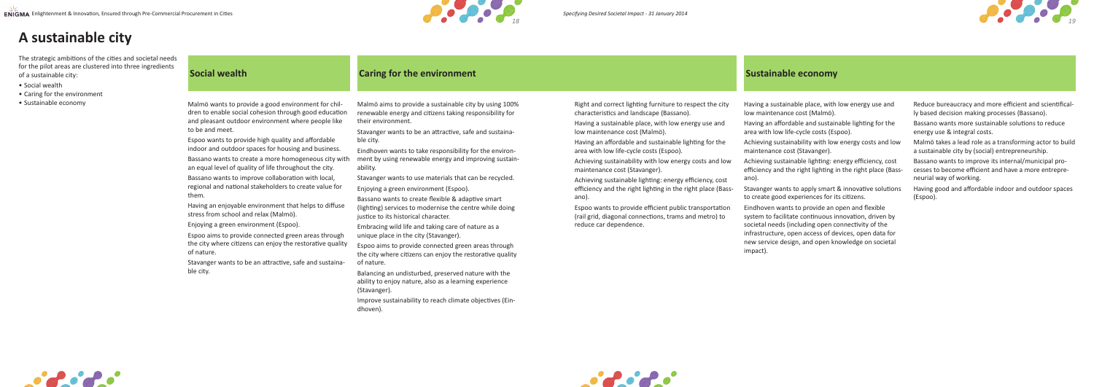

#### **Sustainable economy**

| The strategic ambitions of the cities and societal needs<br>for the pilot areas are clustered into three ingredients<br>of a sustainable city:<br>• Social wealth | <b>Caring for the environment</b><br><b>Social wealth</b>                                                                                                                                                                                                                                                                                                                                                                                                                                                                                                                                                                                                                                                                                                                                                                                                                                          |                                                                                                                                                                                                                                                                                                                                                                                                                                                                                                                                                                                                                                                                                                                                                                                                                                                                                                                                                                                                                                                     |                                                                                                                                                                                                                                                                                                                                                                                                                                                                                                                                                                                                                                                                             |                                                                                                                                                                                                                                                                                                                                                                                                                                                                                                                                                                                                                                                                                                                                                                                                                              |                                                                                                                                                                                                                                                                                                                                                                                                                                                                                                                               |
|-------------------------------------------------------------------------------------------------------------------------------------------------------------------|----------------------------------------------------------------------------------------------------------------------------------------------------------------------------------------------------------------------------------------------------------------------------------------------------------------------------------------------------------------------------------------------------------------------------------------------------------------------------------------------------------------------------------------------------------------------------------------------------------------------------------------------------------------------------------------------------------------------------------------------------------------------------------------------------------------------------------------------------------------------------------------------------|-----------------------------------------------------------------------------------------------------------------------------------------------------------------------------------------------------------------------------------------------------------------------------------------------------------------------------------------------------------------------------------------------------------------------------------------------------------------------------------------------------------------------------------------------------------------------------------------------------------------------------------------------------------------------------------------------------------------------------------------------------------------------------------------------------------------------------------------------------------------------------------------------------------------------------------------------------------------------------------------------------------------------------------------------------|-----------------------------------------------------------------------------------------------------------------------------------------------------------------------------------------------------------------------------------------------------------------------------------------------------------------------------------------------------------------------------------------------------------------------------------------------------------------------------------------------------------------------------------------------------------------------------------------------------------------------------------------------------------------------------|------------------------------------------------------------------------------------------------------------------------------------------------------------------------------------------------------------------------------------------------------------------------------------------------------------------------------------------------------------------------------------------------------------------------------------------------------------------------------------------------------------------------------------------------------------------------------------------------------------------------------------------------------------------------------------------------------------------------------------------------------------------------------------------------------------------------------|-------------------------------------------------------------------------------------------------------------------------------------------------------------------------------------------------------------------------------------------------------------------------------------------------------------------------------------------------------------------------------------------------------------------------------------------------------------------------------------------------------------------------------|
| • Caring for the environment<br>· Sustainable economy                                                                                                             | Malmö wants to provide a good environment for chil-<br>dren to enable social cohesion through good education<br>and pleasant outdoor environment where people like<br>to be and meet.<br>Espoo wants to provide high quality and affordable<br>indoor and outdoor spaces for housing and business.<br>Bassano wants to create a more homogeneous city with<br>an equal level of quality of life throughout the city.<br>Bassano wants to improve collaboration with local,<br>regional and national stakeholders to create value for<br>them.<br>Having an enjoyable environment that helps to diffuse<br>stress from school and relax (Malmö).<br>Enjoying a green environment (Espoo).<br>Espoo aims to provide connected green areas through<br>the city where citizens can enjoy the restorative quality<br>of nature.<br>Stavanger wants to be an attractive, safe and sustaina-<br>ble city. | Malmö aims to provide a sustainable city by using 100%<br>renewable energy and citizens taking responsibility for<br>their environment.<br>Stavanger wants to be an attractive, safe and sustaina-<br>ble city.<br>Eindhoven wants to take responsibility for the environ-<br>ment by using renewable energy and improving sustain-<br>ability.<br>Stavanger wants to use materials that can be recycled.<br>Enjoying a green environment (Espoo).<br>Bassano wants to create flexible & adaptive smart<br>(lighting) services to modernise the centre while doing<br>justice to its historical character.<br>Embracing wild life and taking care of nature as a<br>unique place in the city (Stavanger).<br>Espoo aims to provide connected green areas through<br>the city where citizens can enjoy the restorative quality<br>of nature.<br>Balancing an undisturbed, preserved nature with the<br>ability to enjoy nature, also as a learning experience<br>(Stavanger)<br>Improve sustainability to reach climate objectives (Ein-<br>dhoven). | Right and correct lighting furniture to respect the city<br>characteristics and landscape (Bassano).<br>Having a sustainable place, with low energy use and<br>low maintenance cost (Malmö).<br>Having an affordable and sustainable lighting for the<br>area with low life-cycle costs (Espoo).<br>Achieving sustainability with low energy costs and low<br>maintenance cost (Stavanger).<br>Achieving sustainable lighting: energy efficiency, cost<br>efficiency and the right lighting in the right place (Bass-<br>ano).<br>Espoo wants to provide efficient public transportation<br>(rail grid, diagonal connections, trams and metro) to<br>reduce car dependence. | Having a sustainable place, with low energy use and<br>low maintenance cost (Malmö).<br>Having an affordable and sustainable lighting for the<br>area with low life-cycle costs (Espoo).<br>Achieving sustainability with low energy costs and low<br>maintenance cost (Stavanger).<br>Achieving sustainable lighting: energy efficiency, cost<br>efficiency and the right lighting in the right place (Bass-<br>ano).<br>Stavanger wants to apply smart & innovative solutions<br>to create good experiences for its citizens.<br>Eindhoven wants to provide an open and flexible<br>system to facilitate continuous innovation, driven by<br>societal needs (including open connectivity of the<br>infrastructure, open access of devices, open data for<br>new service design, and open knowledge on societal<br>impact). | Reduce bureaucracy and more efficient and scientifical-<br>ly based decision making processes (Bassano).<br>Bassano wants more sustainable solutions to reduce<br>energy use & integral costs.<br>Malmö takes a lead role as a transforming actor to build<br>a sustainable city by (social) entrepreneurship.<br>Bassano wants to improve its internal/municipal pro-<br>cesses to become efficient and have a more entrepre-<br>neurial way of working.<br>Having good and affordable indoor and outdoor spaces<br>(Espoo). |







- Right and correct lighting furniture to respect the city characteristics and landscape (Bassano).
- Having a sustainable place, with low energy use and low maintenance cost (Malmö).
- Having an affordable and sustainable lighting for the area with low life-cycle costs (Espoo).
- Achieving sustainability with low energy costs and low maintenance cost (Stavanger).
- Achieving sustainable lighting: energy efficiency, cost efficiency and the right lighting in the right place (Bassano).
- Espoo wants to provide efficient public transportation (rail grid, diagonal connections, trams and metro) to reduce car dependence.

## **A sustainable city**

- Social wealth
- Caring for the environment
- 
- ly based decision making processes (Bassano).
- Bassano wants more sustainable solutions to reduce energy use & integral costs.
- Malmö takes a lead role as a transforming actor to build a sustainable city by (social) entrepreneurship.
- Bassano wants to improve its internal/municipal processes to become efficient and have a more entrepreneurial way of working.
- Having good and affordable indoor and outdoor spaces (Espoo).



- Having a sustainable place, with low energy use and low maintenance cost (Malmö).
- Having an affordable and sustainable lighting for the area with low life-cycle costs (Espoo).
- Achieving sustainability with low energy costs and low maintenance cost (Stavanger).
- Achieving sustainable lighting: energy efficiency, cost efficiency and the right lighting in the right place (Bassano).
- Stavanger wants to apply smart & innovative solutions to create good experiences for its citizens.
- Eindhoven wants to provide an open and flexible system to facilitate continuous innovation, driven by societal needs (including open connectivity of the infrastructure, open access of devices, open data for new service design, and open knowledge on societal impact).